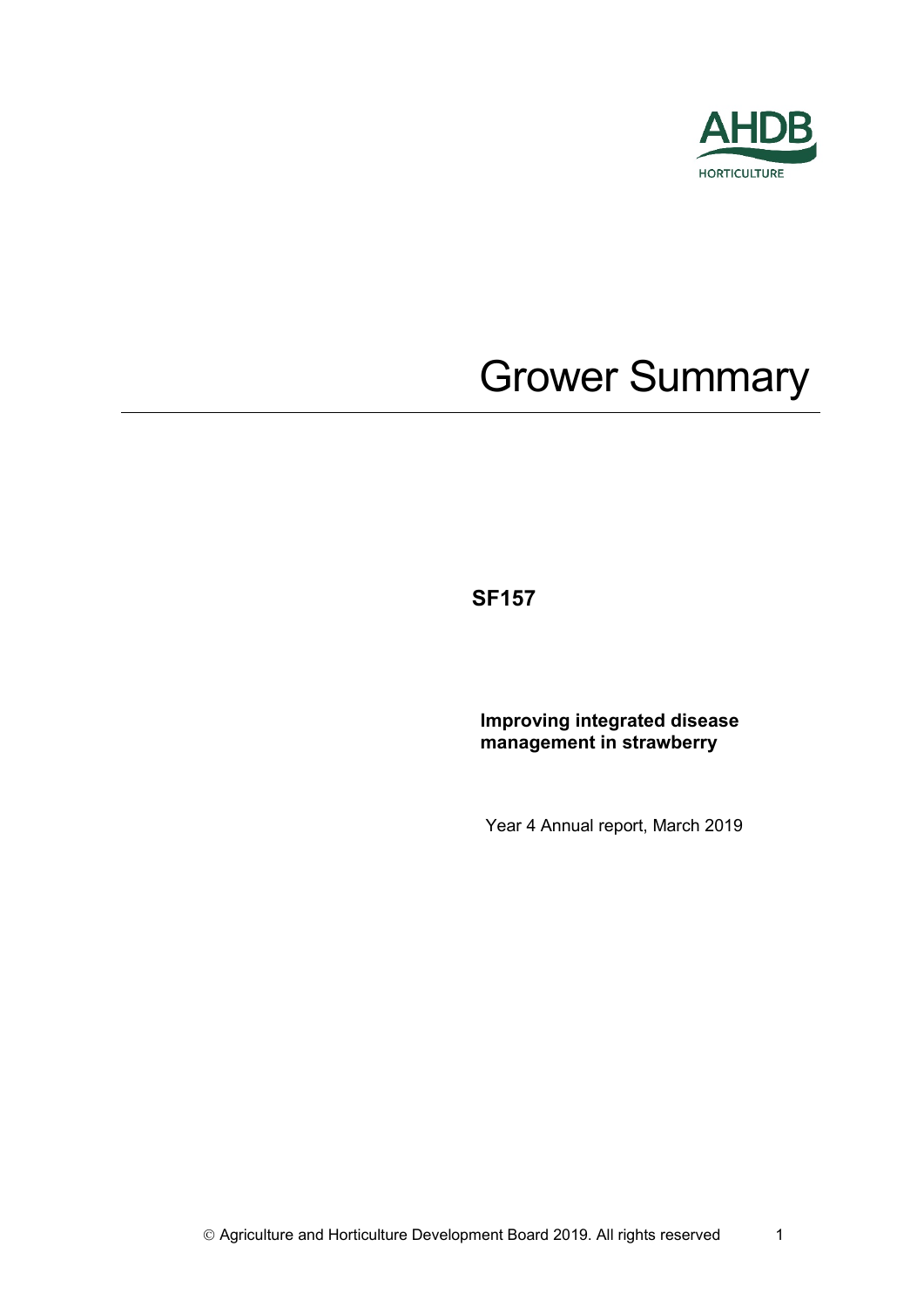

# Grower Summary

**SF157** 

**Improving integrated disease management in strawberry**

Year 4 Annual report, March 2019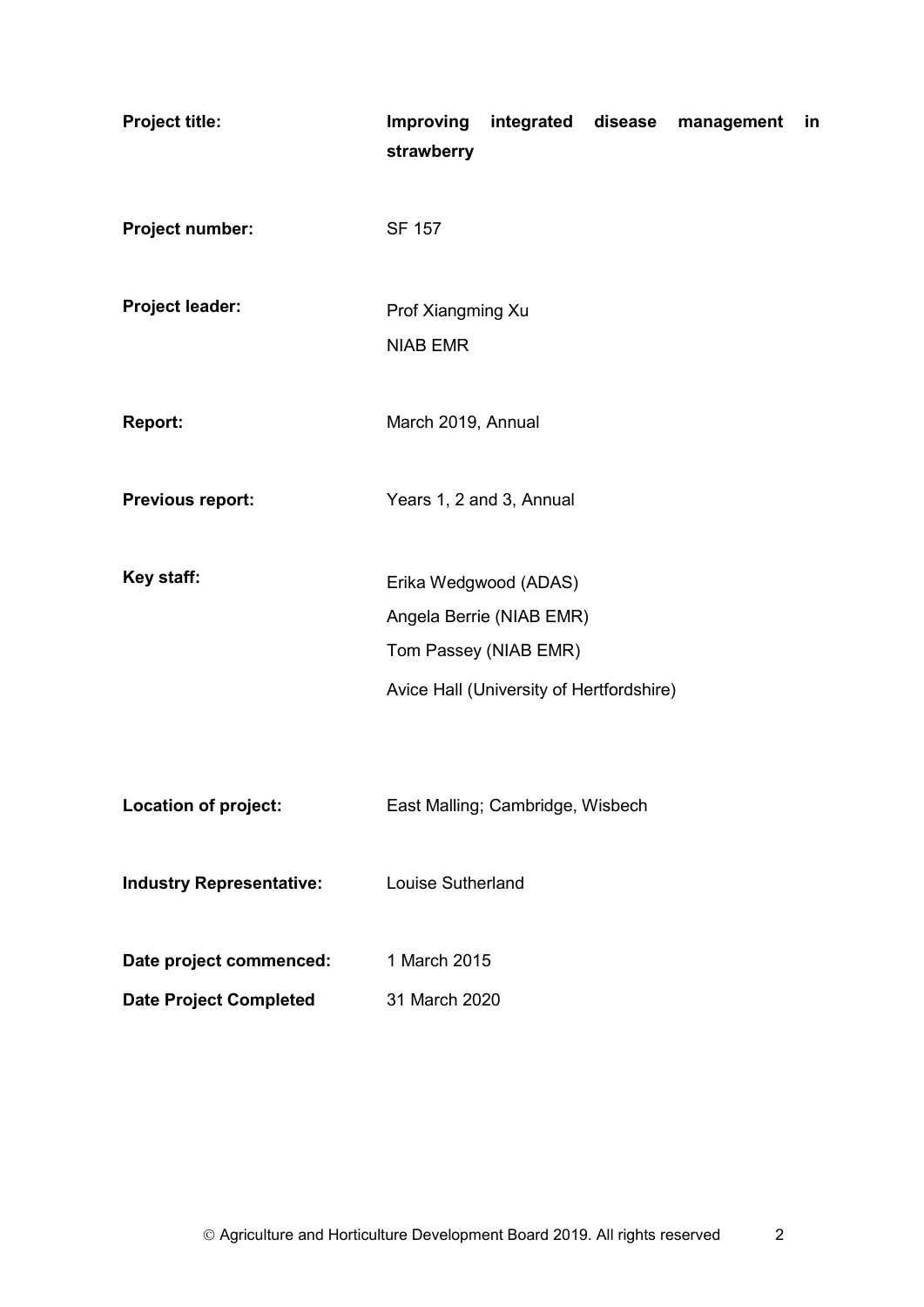| <b>Project title:</b>                                    | strawberry                                     |                                                                      |  | Improving integrated disease management | in |
|----------------------------------------------------------|------------------------------------------------|----------------------------------------------------------------------|--|-----------------------------------------|----|
| Project number:                                          | <b>SF 157</b>                                  |                                                                      |  |                                         |    |
| <b>Project leader:</b>                                   | Prof Xiangming Xu<br><b>NIAB EMR</b>           |                                                                      |  |                                         |    |
| <b>Report:</b>                                           | March 2019, Annual                             |                                                                      |  |                                         |    |
| <b>Previous report:</b>                                  | Years 1, 2 and 3, Annual                       |                                                                      |  |                                         |    |
| Key staff:                                               | Erika Wedgwood (ADAS)<br>Tom Passey (NIAB EMR) | Angela Berrie (NIAB EMR)<br>Avice Hall (University of Hertfordshire) |  |                                         |    |
| Location of project:                                     |                                                | East Malling; Cambridge, Wisbech                                     |  |                                         |    |
| <b>Industry Representative:</b>                          | Louise Sutherland                              |                                                                      |  |                                         |    |
| Date project commenced:<br><b>Date Project Completed</b> | 1 March 2015<br>31 March 2020                  |                                                                      |  |                                         |    |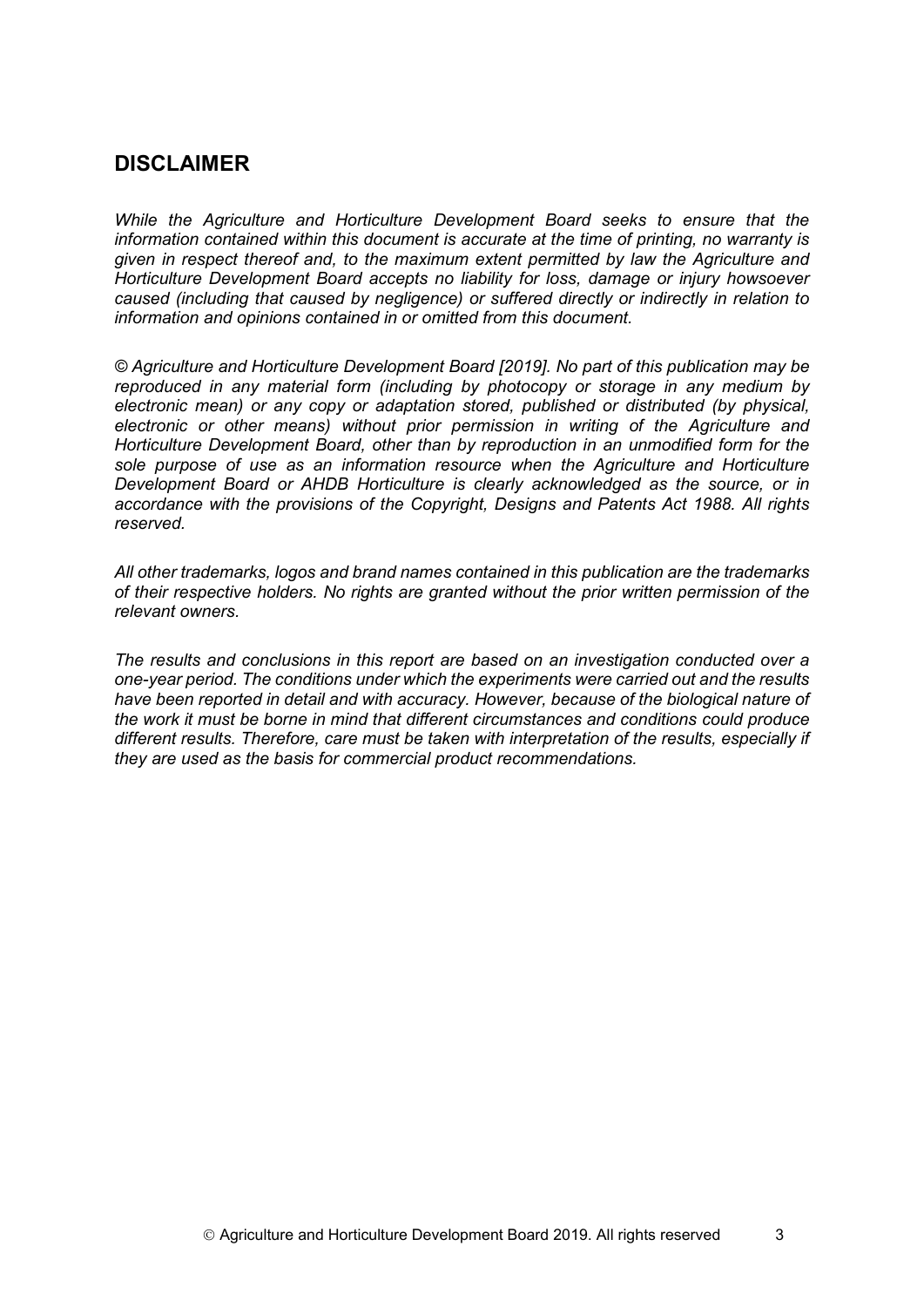## **DISCLAIMER**

*While the Agriculture and Horticulture Development Board seeks to ensure that the information contained within this document is accurate at the time of printing, no warranty is given in respect thereof and, to the maximum extent permitted by law the Agriculture and Horticulture Development Board accepts no liability for loss, damage or injury howsoever caused (including that caused by negligence) or suffered directly or indirectly in relation to information and opinions contained in or omitted from this document.* 

*© Agriculture and Horticulture Development Board [2019]. No part of this publication may be reproduced in any material form (including by photocopy or storage in any medium by electronic mean) or any copy or adaptation stored, published or distributed (by physical, electronic or other means) without prior permission in writing of the Agriculture and Horticulture Development Board, other than by reproduction in an unmodified form for the sole purpose of use as an information resource when the Agriculture and Horticulture Development Board or AHDB Horticulture is clearly acknowledged as the source, or in accordance with the provisions of the Copyright, Designs and Patents Act 1988. All rights reserved.*

*All other trademarks, logos and brand names contained in this publication are the trademarks of their respective holders. No rights are granted without the prior written permission of the relevant owners.* 

*The results and conclusions in this report are based on an investigation conducted over a one-year period. The conditions under which the experiments were carried out and the results have been reported in detail and with accuracy. However, because of the biological nature of the work it must be borne in mind that different circumstances and conditions could produce different results. Therefore, care must be taken with interpretation of the results, especially if they are used as the basis for commercial product recommendations.*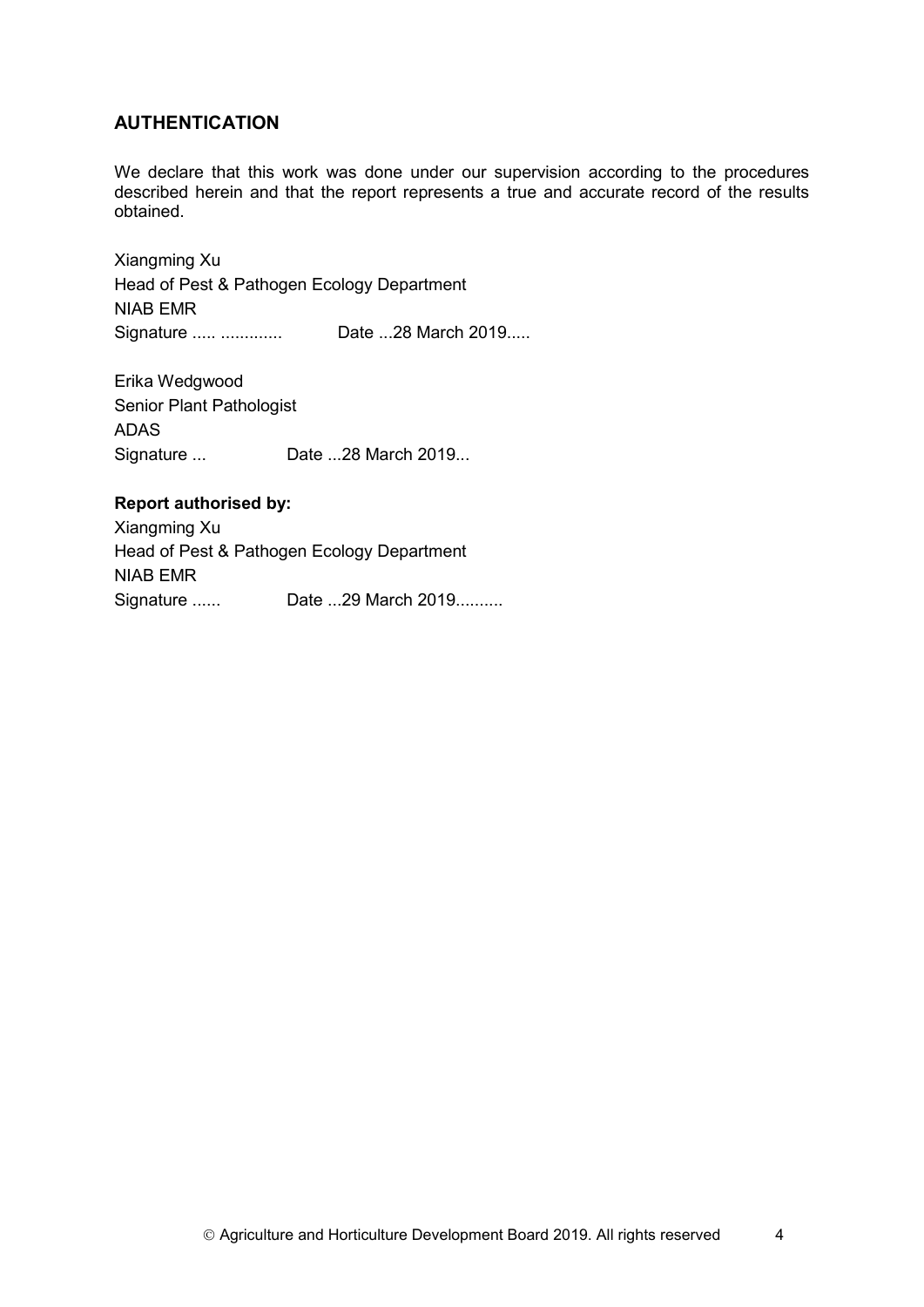#### **AUTHENTICATION**

We declare that this work was done under our supervision according to the procedures described herein and that the report represents a true and accurate record of the results obtained.

Xiangming Xu Head of Pest & Pathogen Ecology Department NIAB EMR Signature ..... ............. Date ...28 March 2019.....

Erika Wedgwood Senior Plant Pathologist ADAS Signature ... Date ...28 March 2019...

#### **Report authorised by:**

Xiangming Xu Head of Pest & Pathogen Ecology Department NIAB EMR Signature ...... Date ...29 March 2019..........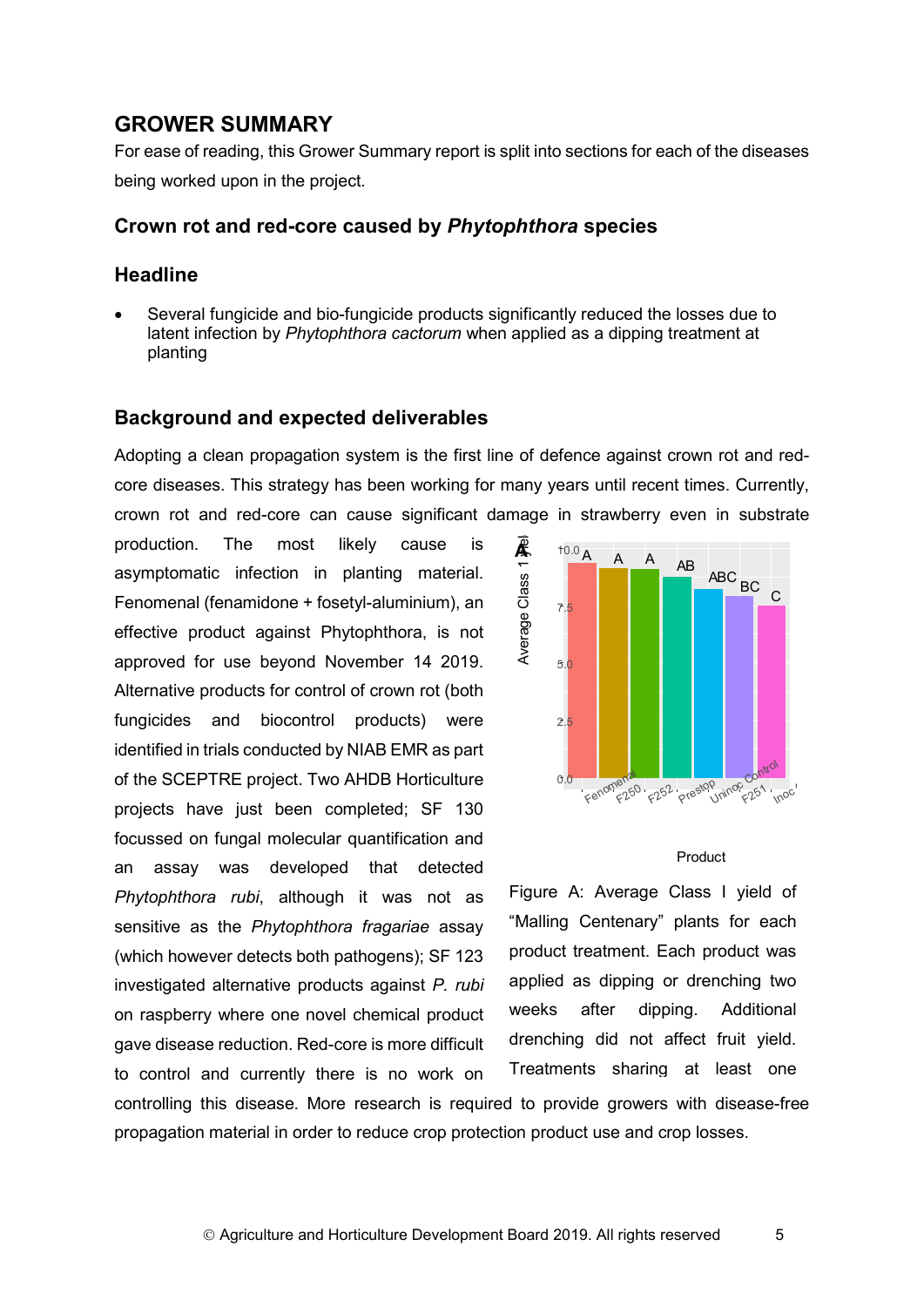## **GROWER SUMMARY**

For ease of reading, this Grower Summary report is split into sections for each of the diseases being worked upon in the project.

#### **Crown rot and red-core caused by** *Phytophthora* **species**

#### **Headline**

• Several fungicide and bio-fungicide products significantly reduced the losses due to latent infection by *Phytophthora cactorum* when applied as a dipping treatment at planting

#### **Background and expected deliverables**

Adopting a clean propagation system is the first line of defence against crown rot and redcore diseases. This strategy has been working for many years until recent times. Currently, crown rot and red-core can cause significant damage in strawberry even in substrate

production. The most likely cause is asymptomatic infection in planting material. Fenomenal (fenamidone + fosetyl-aluminium), an effective product against Phytophthora, is not approved for use beyond November 14 2019. Alternative products for control of crown rot (both fungicides and biocontrol products) were identified in trials conducted by NIAB EMR as part of the SCEPTRE project. Two AHDB Horticulture projects have just been completed; SF 130 focussed on fungal molecular quantification and an assay was developed that detected *Phytophthora rubi*, although it was not as sensitive as the *Phytophthora fragariae* assay (which however detects both pathogens); SF 123 investigated alternative products against *P. rubi* on raspberry where one novel chemical product gave disease reduction. Red-core is more difficult to control and currently there is no work on



#### Product

Figure A: Average Class I yield of "Malling Centenary" plants for each product treatment. Each product was applied as dipping or drenching two weeks after dipping. Additional drenching did not affect fruit yield. Treatments sharing at least one

controlling this disease. More research is required to provide growers with disease-free propagation material in order to reduce crop protection product use and crop losses.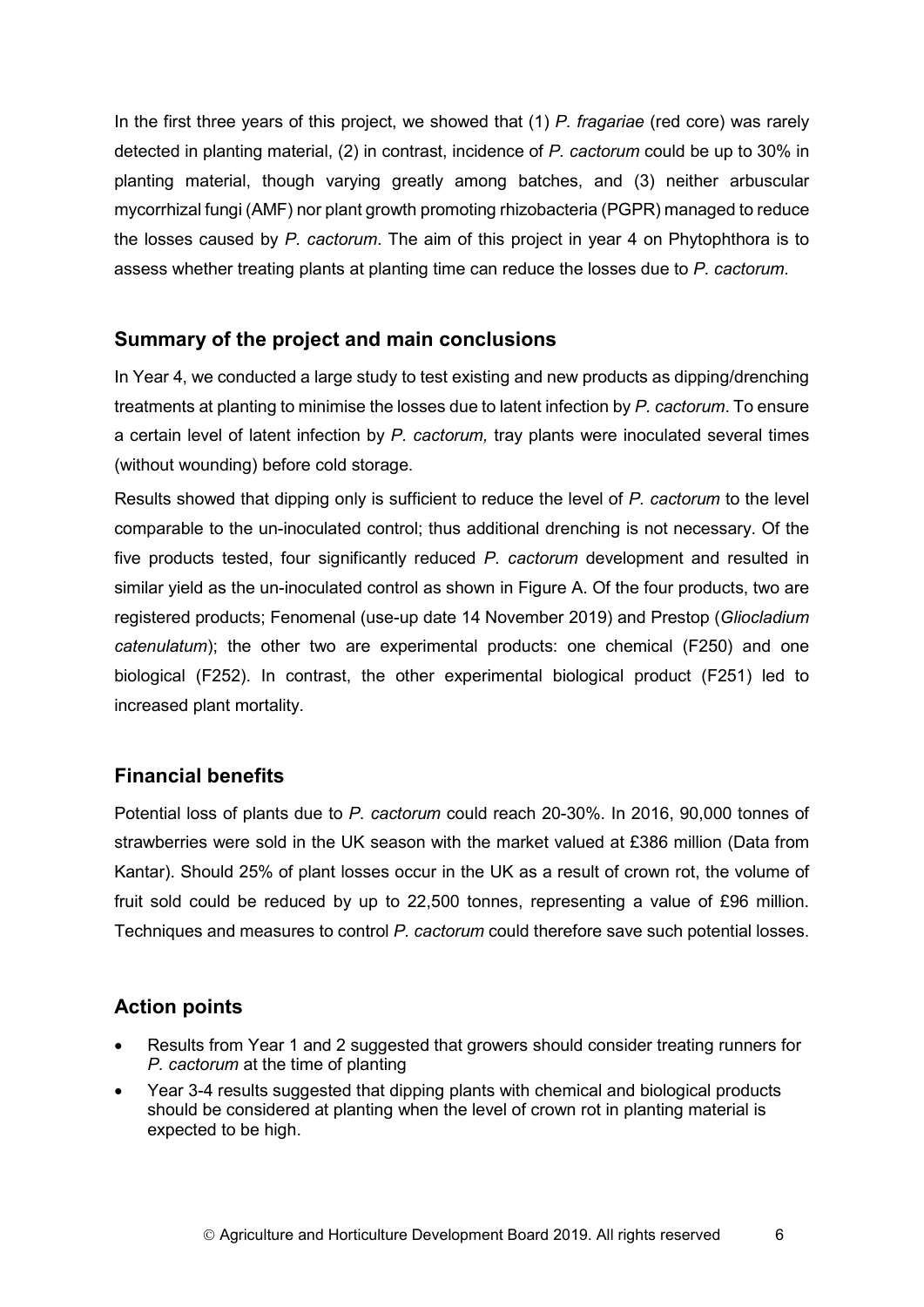In the first three years of this project, we showed that (1) *P. fragariae* (red core) was rarely detected in planting material, (2) in contrast, incidence of *P. cactorum* could be up to 30% in planting material, though varying greatly among batches, and (3) neither arbuscular mycorrhizal fungi (AMF) nor plant growth promoting rhizobacteria (PGPR) managed to reduce the losses caused by *P. cactorum*. The aim of this project in year 4 on Phytophthora is to assess whether treating plants at planting time can reduce the losses due to *P. cactorum*.

## **Summary of the project and main conclusions**

In Year 4, we conducted a large study to test existing and new products as dipping/drenching treatments at planting to minimise the losses due to latent infection by *P. cactorum*. To ensure a certain level of latent infection by *P. cactorum,* tray plants were inoculated several times (without wounding) before cold storage.

Results showed that dipping only is sufficient to reduce the level of *P. cactorum* to the level comparable to the un-inoculated control; thus additional drenching is not necessary. Of the five products tested, four significantly reduced *P. cactorum* development and resulted in similar yield as the un-inoculated control as shown in Figure A. Of the four products, two are registered products; Fenomenal (use-up date 14 November 2019) and Prestop (*Gliocladium catenulatum*); the other two are experimental products: one chemical (F250) and one biological (F252). In contrast, the other experimental biological product (F251) led to increased plant mortality.

### **Financial benefits**

Potential loss of plants due to *P. cactorum* could reach 20-30%. In 2016, 90,000 tonnes of strawberries were sold in the UK season with the market valued at £386 million (Data from Kantar). Should 25% of plant losses occur in the UK as a result of crown rot, the volume of fruit sold could be reduced by up to 22,500 tonnes, representing a value of £96 million. Techniques and measures to control *P. cactorum* could therefore save such potential losses.

## **Action points**

- Results from Year 1 and 2 suggested that growers should consider treating runners for *P. cactorum* at the time of planting
- Year 3-4 results suggested that dipping plants with chemical and biological products should be considered at planting when the level of crown rot in planting material is expected to be high.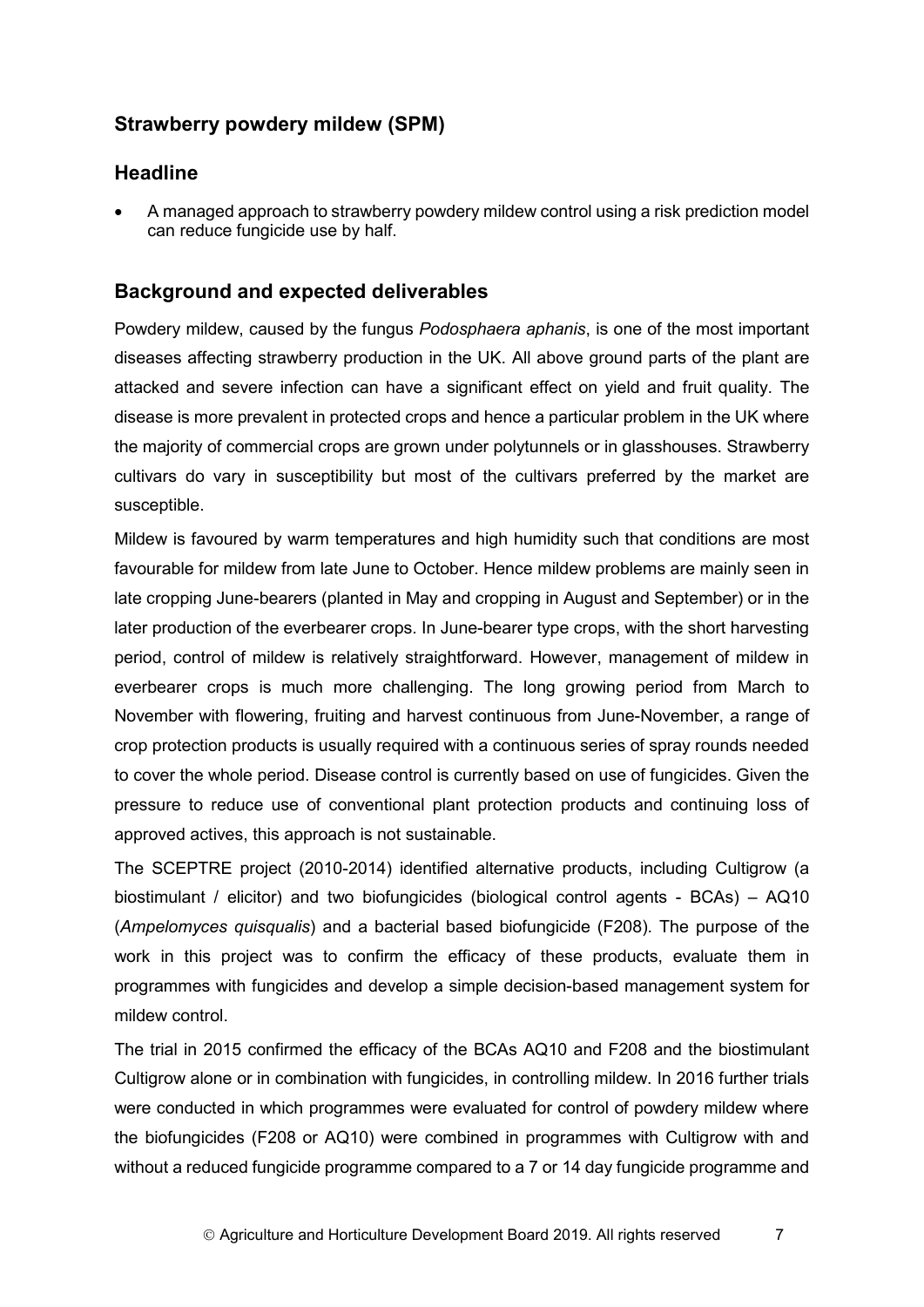## **Strawberry powdery mildew (SPM)**

#### **Headline**

• A managed approach to strawberry powdery mildew control using a risk prediction model can reduce fungicide use by half.

### **Background and expected deliverables**

Powdery mildew, caused by the fungus *Podosphaera aphanis*, is one of the most important diseases affecting strawberry production in the UK. All above ground parts of the plant are attacked and severe infection can have a significant effect on yield and fruit quality. The disease is more prevalent in protected crops and hence a particular problem in the UK where the majority of commercial crops are grown under polytunnels or in glasshouses. Strawberry cultivars do vary in susceptibility but most of the cultivars preferred by the market are susceptible.

Mildew is favoured by warm temperatures and high humidity such that conditions are most favourable for mildew from late June to October. Hence mildew problems are mainly seen in late cropping June-bearers (planted in May and cropping in August and September) or in the later production of the everbearer crops. In June-bearer type crops, with the short harvesting period, control of mildew is relatively straightforward. However, management of mildew in everbearer crops is much more challenging. The long growing period from March to November with flowering, fruiting and harvest continuous from June-November, a range of crop protection products is usually required with a continuous series of spray rounds needed to cover the whole period. Disease control is currently based on use of fungicides. Given the pressure to reduce use of conventional plant protection products and continuing loss of approved actives, this approach is not sustainable.

The SCEPTRE project (2010-2014) identified alternative products, including Cultigrow (a biostimulant / elicitor) and two biofungicides (biological control agents - BCAs) – AQ10 (*Ampelomyces quisqualis*) and a bacterial based biofungicide (F208). The purpose of the work in this project was to confirm the efficacy of these products, evaluate them in programmes with fungicides and develop a simple decision-based management system for mildew control.

The trial in 2015 confirmed the efficacy of the BCAs AQ10 and F208 and the biostimulant Cultigrow alone or in combination with fungicides, in controlling mildew. In 2016 further trials were conducted in which programmes were evaluated for control of powdery mildew where the biofungicides (F208 or AQ10) were combined in programmes with Cultigrow with and without a reduced fungicide programme compared to a 7 or 14 day fungicide programme and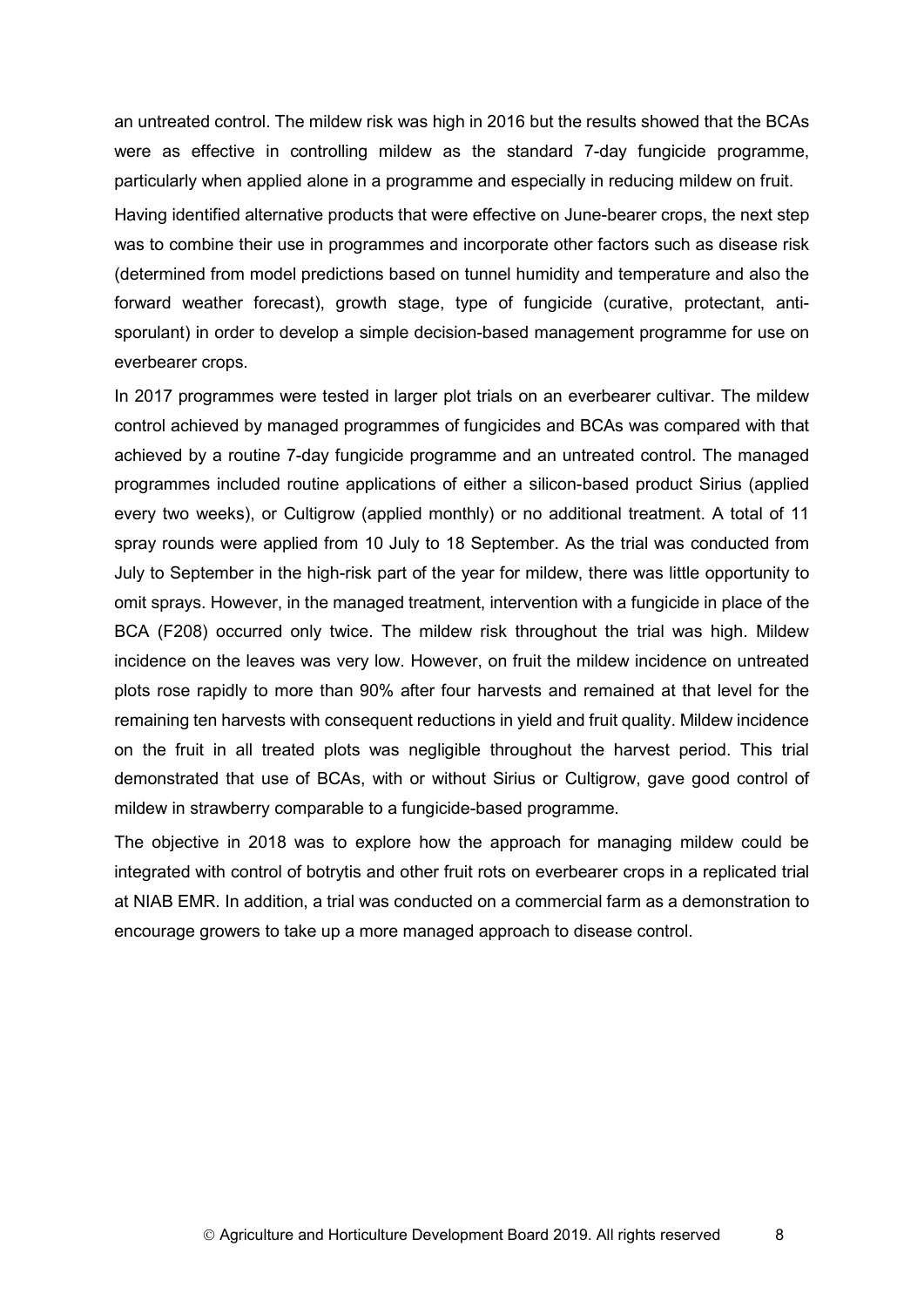an untreated control. The mildew risk was high in 2016 but the results showed that the BCAs were as effective in controlling mildew as the standard 7-day fungicide programme, particularly when applied alone in a programme and especially in reducing mildew on fruit.

Having identified alternative products that were effective on June-bearer crops, the next step was to combine their use in programmes and incorporate other factors such as disease risk (determined from model predictions based on tunnel humidity and temperature and also the forward weather forecast), growth stage, type of fungicide (curative, protectant, antisporulant) in order to develop a simple decision-based management programme for use on everbearer crops.

In 2017 programmes were tested in larger plot trials on an everbearer cultivar. The mildew control achieved by managed programmes of fungicides and BCAs was compared with that achieved by a routine 7-day fungicide programme and an untreated control. The managed programmes included routine applications of either a silicon-based product Sirius (applied every two weeks), or Cultigrow (applied monthly) or no additional treatment. A total of 11 spray rounds were applied from 10 July to 18 September. As the trial was conducted from July to September in the high-risk part of the year for mildew, there was little opportunity to omit sprays. However, in the managed treatment, intervention with a fungicide in place of the BCA (F208) occurred only twice. The mildew risk throughout the trial was high. Mildew incidence on the leaves was very low. However, on fruit the mildew incidence on untreated plots rose rapidly to more than 90% after four harvests and remained at that level for the remaining ten harvests with consequent reductions in yield and fruit quality. Mildew incidence on the fruit in all treated plots was negligible throughout the harvest period. This trial demonstrated that use of BCAs, with or without Sirius or Cultigrow, gave good control of mildew in strawberry comparable to a fungicide-based programme.

The objective in 2018 was to explore how the approach for managing mildew could be integrated with control of botrytis and other fruit rots on everbearer crops in a replicated trial at NIAB EMR. In addition, a trial was conducted on a commercial farm as a demonstration to encourage growers to take up a more managed approach to disease control.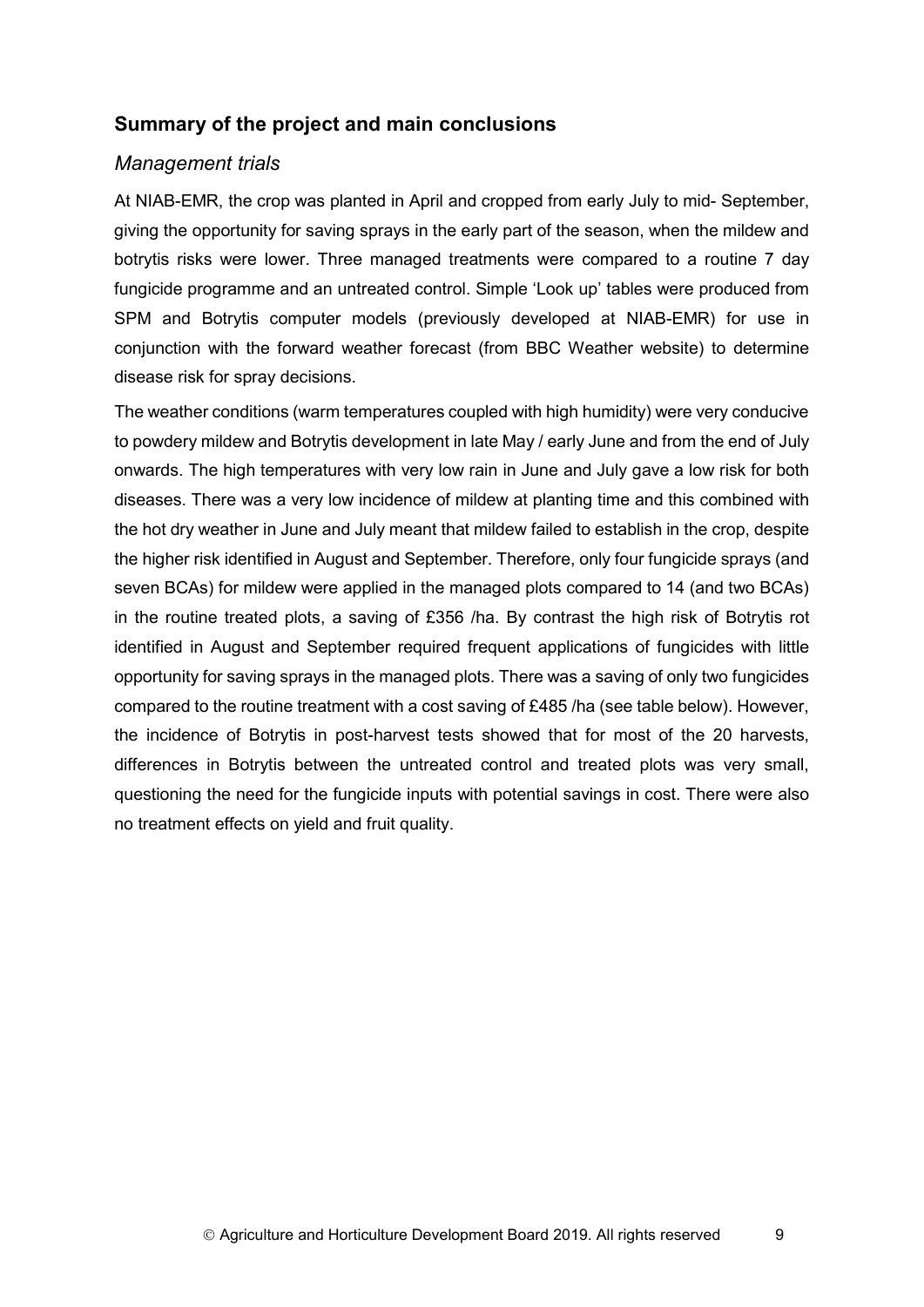## **Summary of the project and main conclusions**

#### *Management trials*

At NIAB-EMR, the crop was planted in April and cropped from early July to mid- September, giving the opportunity for saving sprays in the early part of the season, when the mildew and botrytis risks were lower. Three managed treatments were compared to a routine 7 day fungicide programme and an untreated control. Simple 'Look up' tables were produced from SPM and Botrytis computer models (previously developed at NIAB-EMR) for use in conjunction with the forward weather forecast (from BBC Weather website) to determine disease risk for spray decisions.

The weather conditions (warm temperatures coupled with high humidity) were very conducive to powdery mildew and Botrytis development in late May / early June and from the end of July onwards. The high temperatures with very low rain in June and July gave a low risk for both diseases. There was a very low incidence of mildew at planting time and this combined with the hot dry weather in June and July meant that mildew failed to establish in the crop, despite the higher risk identified in August and September. Therefore, only four fungicide sprays (and seven BCAs) for mildew were applied in the managed plots compared to 14 (and two BCAs) in the routine treated plots, a saving of £356 /ha. By contrast the high risk of Botrytis rot identified in August and September required frequent applications of fungicides with little opportunity for saving sprays in the managed plots. There was a saving of only two fungicides compared to the routine treatment with a cost saving of £485 /ha (see table below). However, the incidence of Botrytis in post-harvest tests showed that for most of the 20 harvests, differences in Botrytis between the untreated control and treated plots was very small, questioning the need for the fungicide inputs with potential savings in cost. There were also no treatment effects on yield and fruit quality.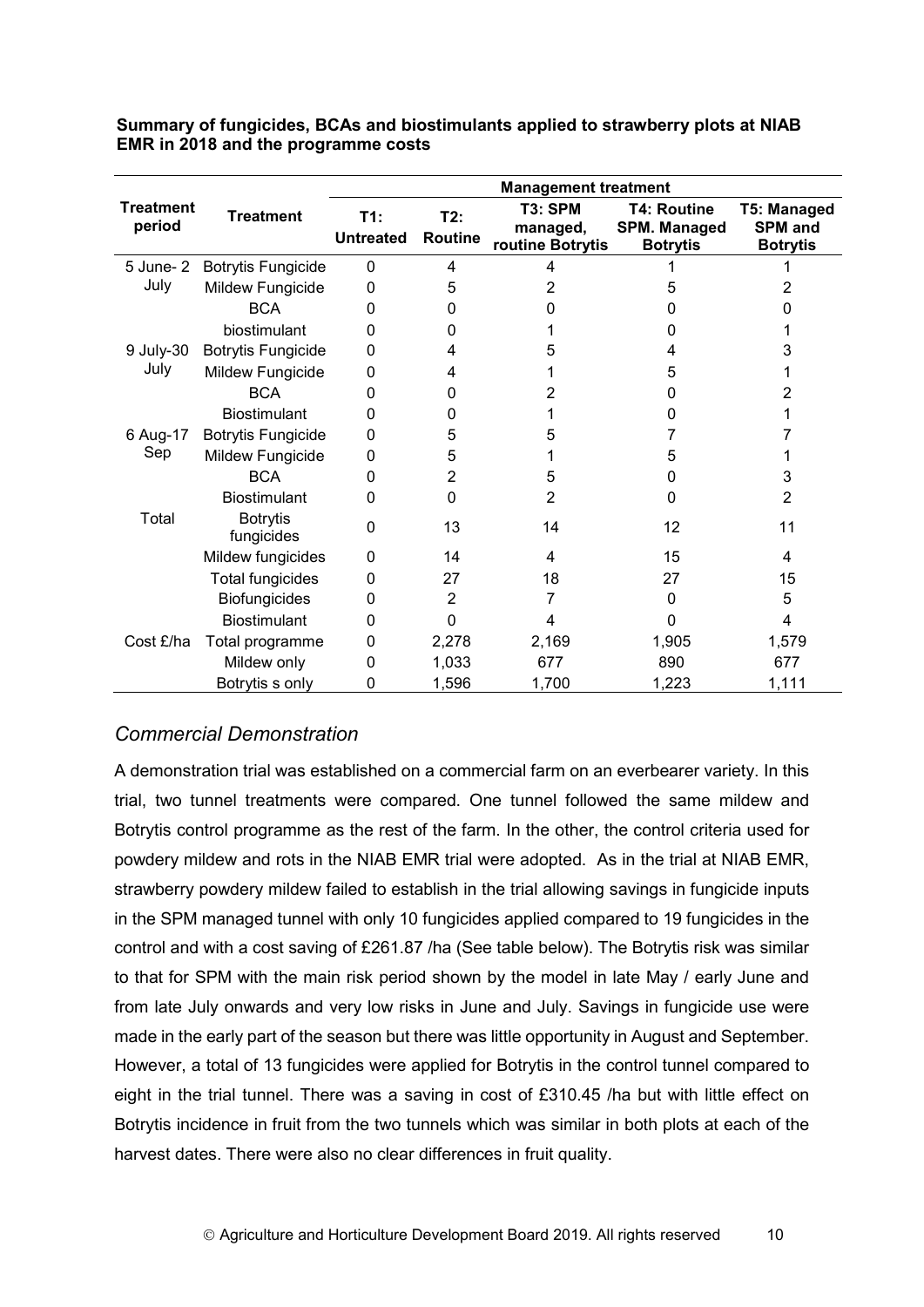**Summary of fungicides, BCAs and biostimulants applied to strawberry plots at NIAB EMR in 2018 and the programme costs**

|                            |                               | <b>Management treatment</b> |                       |                                         |                                                              |                                                  |
|----------------------------|-------------------------------|-----------------------------|-----------------------|-----------------------------------------|--------------------------------------------------------------|--------------------------------------------------|
| <b>Treatment</b><br>period | <b>Treatment</b>              | T1:<br><b>Untreated</b>     | T2:<br><b>Routine</b> | T3: SPM<br>managed,<br>routine Botrytis | <b>T4: Routine</b><br><b>SPM. Managed</b><br><b>Botrytis</b> | T5: Managed<br><b>SPM</b> and<br><b>Botrytis</b> |
| 5 June- 2                  | <b>Botrytis Fungicide</b>     | $\mathbf{0}$                | 4                     | 4                                       |                                                              |                                                  |
| July                       | Mildew Fungicide              | 0                           | 5                     | 2                                       | 5                                                            | 2                                                |
|                            | <b>BCA</b>                    | $\Omega$                    | 0                     | O                                       | 0                                                            | 0                                                |
|                            | biostimulant                  | 0                           | 0                     |                                         | $\Omega$                                                     |                                                  |
| 9 July-30                  | <b>Botrytis Fungicide</b>     | $\Omega$                    | 4                     | 5                                       | 4                                                            | 3                                                |
| July                       | Mildew Fungicide              | 0                           | 4                     |                                         | 5                                                            | 1                                                |
|                            | <b>BCA</b>                    | $\Omega$                    | 0                     | 2                                       | 0                                                            | 2                                                |
|                            | <b>Biostimulant</b>           | 0                           | 0                     |                                         | 0                                                            | 1                                                |
| 6 Aug-17                   | <b>Botrytis Fungicide</b>     | 0                           | 5                     | 5                                       |                                                              |                                                  |
| Sep                        | Mildew Fungicide              | $\Omega$                    | 5                     |                                         | 5                                                            |                                                  |
|                            | <b>BCA</b>                    | 0                           | 2                     | 5                                       | 0                                                            | 3                                                |
|                            | <b>Biostimulant</b>           | $\mathbf{0}$                | 0                     | $\overline{2}$                          | 0                                                            | $\overline{2}$                                   |
| Total                      | <b>Botrytis</b><br>fungicides | 0                           | 13                    | 14                                      | 12                                                           | 11                                               |
|                            | Mildew fungicides             | 0                           | 14                    | 4                                       | 15                                                           | 4                                                |
|                            | <b>Total fungicides</b>       | 0                           | 27                    | 18                                      | 27                                                           | 15                                               |
|                            | <b>Biofungicides</b>          | 0                           | $\overline{2}$        | 7                                       | 0                                                            | 5                                                |
|                            | <b>Biostimulant</b>           | 0                           | $\Omega$              | 4                                       | 0                                                            | 4                                                |
| Cost £/ha                  | Total programme               | 0                           | 2,278                 | 2,169                                   | 1,905                                                        | 1,579                                            |
|                            | Mildew only                   | 0                           | 1,033                 | 677                                     | 890                                                          | 677                                              |
|                            | Botrytis s only               | 0                           | 1,596                 | 1,700                                   | 1,223                                                        | 1,111                                            |

## *Commercial Demonstration*

A demonstration trial was established on a commercial farm on an everbearer variety. In this trial, two tunnel treatments were compared. One tunnel followed the same mildew and Botrytis control programme as the rest of the farm. In the other, the control criteria used for powdery mildew and rots in the NIAB EMR trial were adopted. As in the trial at NIAB EMR, strawberry powdery mildew failed to establish in the trial allowing savings in fungicide inputs in the SPM managed tunnel with only 10 fungicides applied compared to 19 fungicides in the control and with a cost saving of £261.87 /ha (See table below). The Botrytis risk was similar to that for SPM with the main risk period shown by the model in late May / early June and from late July onwards and very low risks in June and July. Savings in fungicide use were made in the early part of the season but there was little opportunity in August and September. However, a total of 13 fungicides were applied for Botrytis in the control tunnel compared to eight in the trial tunnel. There was a saving in cost of £310.45 /ha but with little effect on Botrytis incidence in fruit from the two tunnels which was similar in both plots at each of the harvest dates. There were also no clear differences in fruit quality.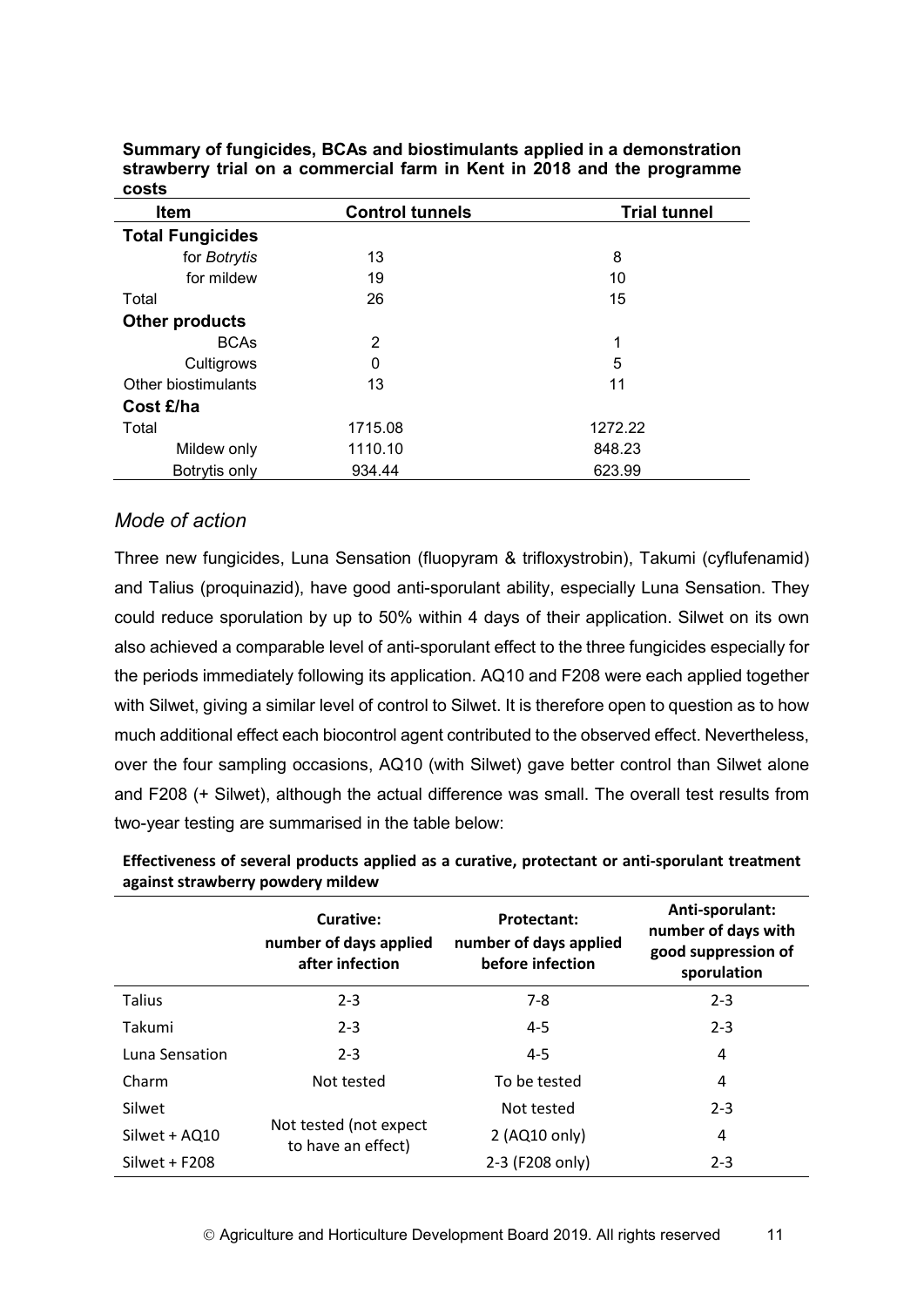| <b>Item</b>             | <b>Control tunnels</b> | <b>Trial tunnel</b> |
|-------------------------|------------------------|---------------------|
| <b>Total Fungicides</b> |                        |                     |
| for Botrytis            | 13                     | 8                   |
| for mildew              | 19                     | 10                  |
| Total                   | 26                     | 15                  |
| <b>Other products</b>   |                        |                     |
| <b>BCAs</b>             | $\overline{2}$         | 1                   |
| Cultigrows              | 0                      | 5                   |
| Other biostimulants     | 13                     | 11                  |
| Cost £/ha               |                        |                     |
| Total                   | 1715.08                | 1272.22             |
| Mildew only             | 1110.10                | 848.23              |
| Botrytis only           | 934.44                 | 623.99              |

**Summary of fungicides, BCAs and biostimulants applied in a demonstration strawberry trial on a commercial farm in Kent in 2018 and the programme costs**

#### *Mode of action*

Three new fungicides, Luna Sensation (fluopyram & trifloxystrobin), Takumi (cyflufenamid) and Talius (proquinazid), have good anti-sporulant ability, especially Luna Sensation. They could reduce sporulation by up to 50% within 4 days of their application. Silwet on its own also achieved a comparable level of anti-sporulant effect to the three fungicides especially for the periods immediately following its application. AQ10 and F208 were each applied together with Silwet, giving a similar level of control to Silwet. It is therefore open to question as to how much additional effect each biocontrol agent contributed to the observed effect. Nevertheless, over the four sampling occasions, AQ10 (with Silwet) gave better control than Silwet alone and F208 (+ Silwet), although the actual difference was small. The overall test results from two-year testing are summarised in the table below:

|                 | Curative:<br>number of days applied<br>after infection | <b>Protectant:</b><br>number of days applied<br>before infection | Anti-sporulant:<br>number of days with<br>good suppression of<br>sporulation |
|-----------------|--------------------------------------------------------|------------------------------------------------------------------|------------------------------------------------------------------------------|
| Talius          | $2 - 3$                                                | $7 - 8$                                                          | $2 - 3$                                                                      |
| Takumi          | $2 - 3$                                                | $4 - 5$                                                          | $2 - 3$                                                                      |
| Luna Sensation  | $2 - 3$                                                | $4 - 5$                                                          | 4                                                                            |
| Charm           | Not tested                                             | To be tested                                                     | 4                                                                            |
| Silwet          |                                                        | Not tested                                                       | $2 - 3$                                                                      |
| Silwet + AQ10   | Not tested (not expect<br>to have an effect)           | 2 (AQ10 only)                                                    | 4                                                                            |
| $Silwet + F208$ |                                                        | 2-3 (F208 only)                                                  | $2 - 3$                                                                      |

**Effectiveness of several products applied as a curative, protectant or anti-sporulant treatment against strawberry powdery mildew**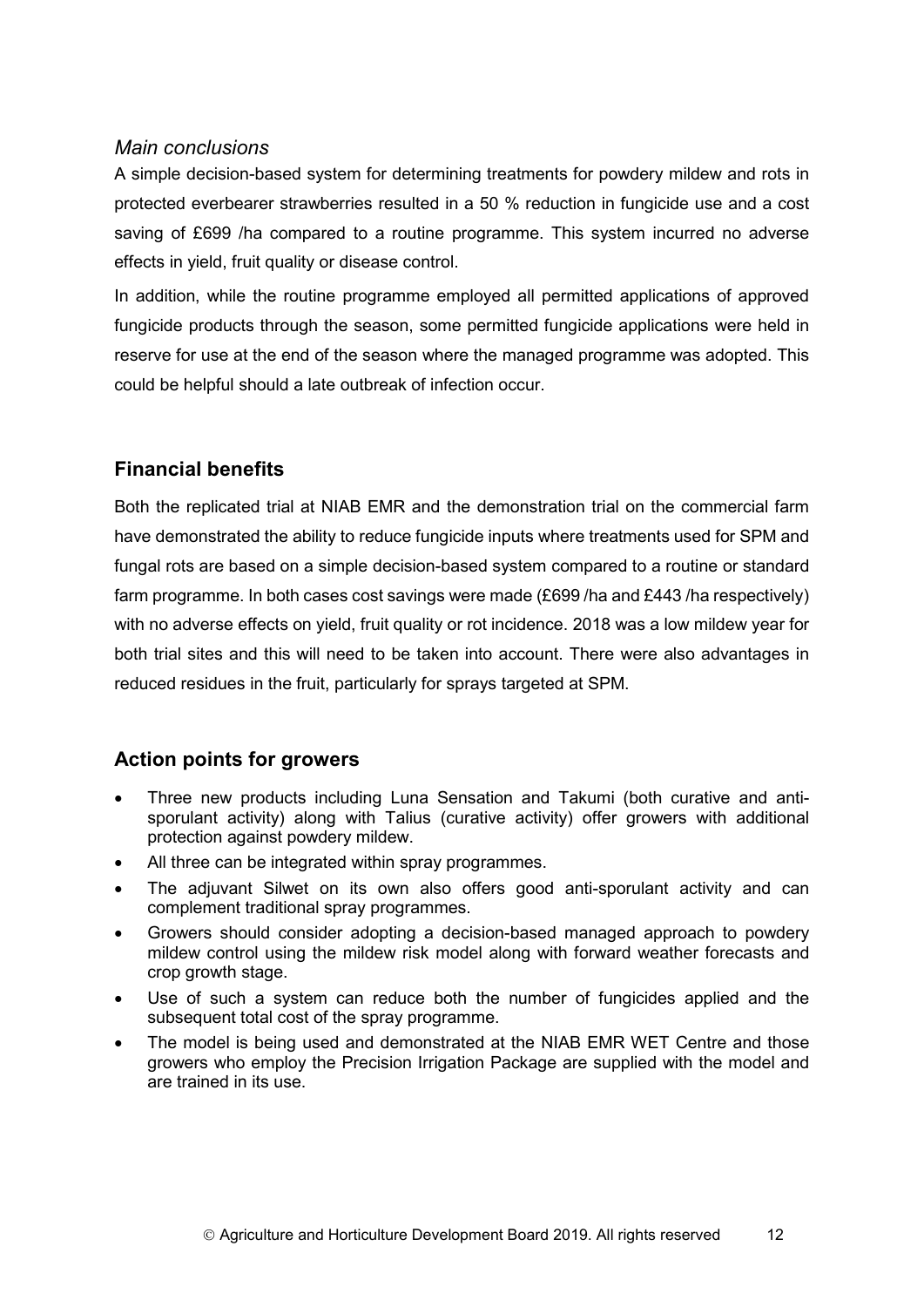#### *Main conclusions*

A simple decision-based system for determining treatments for powdery mildew and rots in protected everbearer strawberries resulted in a 50 % reduction in fungicide use and a cost saving of £699 /ha compared to a routine programme. This system incurred no adverse effects in yield, fruit quality or disease control.

In addition, while the routine programme employed all permitted applications of approved fungicide products through the season, some permitted fungicide applications were held in reserve for use at the end of the season where the managed programme was adopted. This could be helpful should a late outbreak of infection occur.

## **Financial benefits**

Both the replicated trial at NIAB EMR and the demonstration trial on the commercial farm have demonstrated the ability to reduce fungicide inputs where treatments used for SPM and fungal rots are based on a simple decision-based system compared to a routine or standard farm programme. In both cases cost savings were made (£699 /ha and £443 /ha respectively) with no adverse effects on yield, fruit quality or rot incidence. 2018 was a low mildew year for both trial sites and this will need to be taken into account. There were also advantages in reduced residues in the fruit, particularly for sprays targeted at SPM.

## **Action points for growers**

- Three new products including Luna Sensation and Takumi (both curative and antisporulant activity) along with Talius (curative activity) offer growers with additional protection against powdery mildew.
- All three can be integrated within spray programmes.
- The adjuvant Silwet on its own also offers good anti-sporulant activity and can complement traditional spray programmes.
- Growers should consider adopting a decision-based managed approach to powdery mildew control using the mildew risk model along with forward weather forecasts and crop growth stage.
- Use of such a system can reduce both the number of fungicides applied and the subsequent total cost of the spray programme.
- The model is being used and demonstrated at the NIAB EMR WET Centre and those growers who employ the Precision Irrigation Package are supplied with the model and are trained in its use.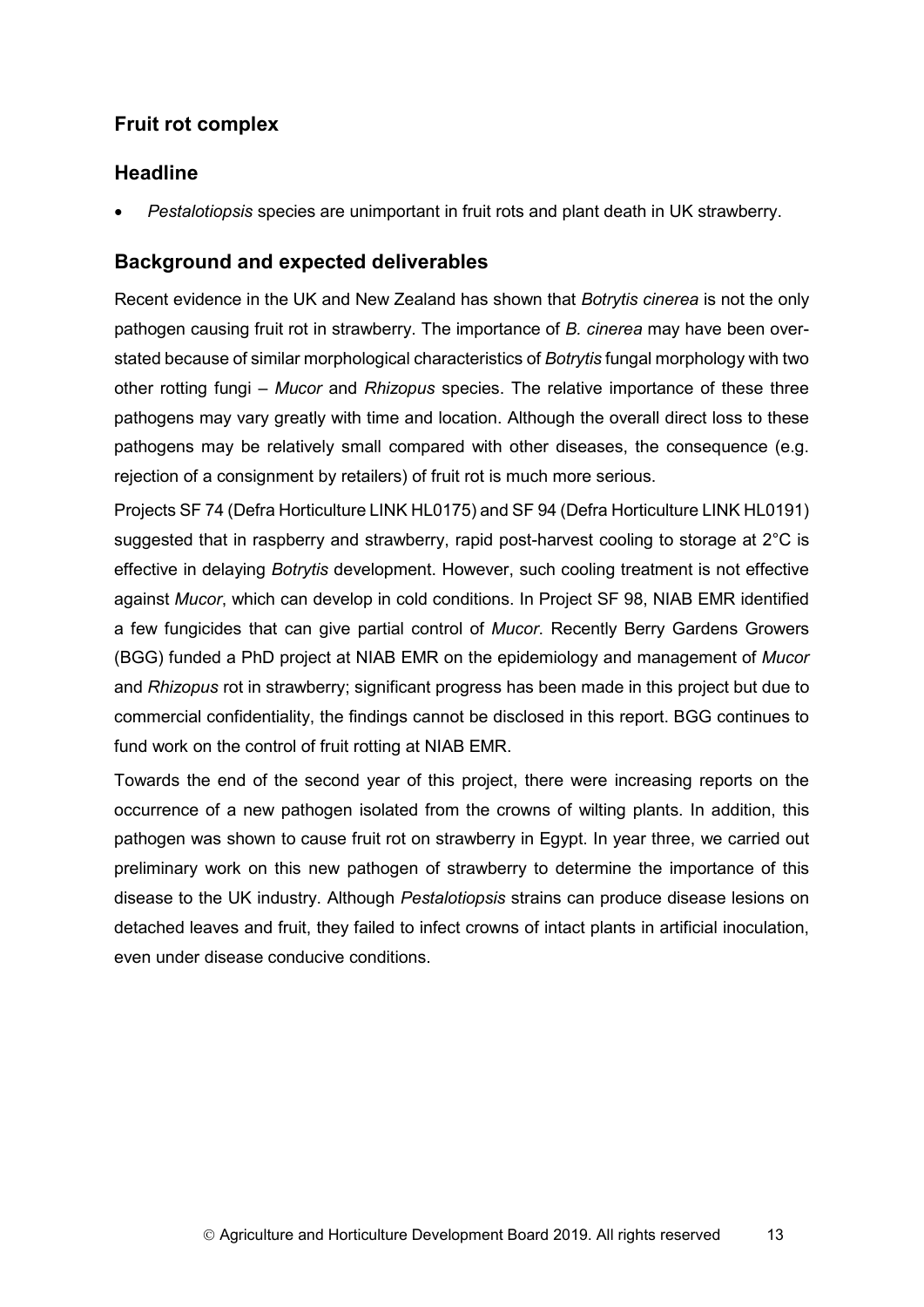## **Fruit rot complex**

## **Headline**

• *Pestalotiopsis* species are unimportant in fruit rots and plant death in UK strawberry.

## **Background and expected deliverables**

Recent evidence in the UK and New Zealand has shown that *Botrytis cinerea* is not the only pathogen causing fruit rot in strawberry. The importance of *B. cinerea* may have been overstated because of similar morphological characteristics of *Botrytis* fungal morphology with two other rotting fungi – *Mucor* and *Rhizopus* species. The relative importance of these three pathogens may vary greatly with time and location. Although the overall direct loss to these pathogens may be relatively small compared with other diseases, the consequence (e.g. rejection of a consignment by retailers) of fruit rot is much more serious.

Projects SF 74 (Defra Horticulture LINK HL0175) and SF 94 (Defra Horticulture LINK HL0191) suggested that in raspberry and strawberry, rapid post-harvest cooling to storage at 2°C is effective in delaying *Botrytis* development. However, such cooling treatment is not effective against *Mucor*, which can develop in cold conditions. In Project SF 98, NIAB EMR identified a few fungicides that can give partial control of *Mucor*. Recently Berry Gardens Growers (BGG) funded a PhD project at NIAB EMR on the epidemiology and management of *Mucor* and *Rhizopus* rot in strawberry; significant progress has been made in this project but due to commercial confidentiality, the findings cannot be disclosed in this report. BGG continues to fund work on the control of fruit rotting at NIAB EMR.

Towards the end of the second year of this project, there were increasing reports on the occurrence of a new pathogen isolated from the crowns of wilting plants. In addition, this pathogen was shown to cause fruit rot on strawberry in Egypt. In year three, we carried out preliminary work on this new pathogen of strawberry to determine the importance of this disease to the UK industry. Although *Pestalotiopsis* strains can produce disease lesions on detached leaves and fruit, they failed to infect crowns of intact plants in artificial inoculation, even under disease conducive conditions.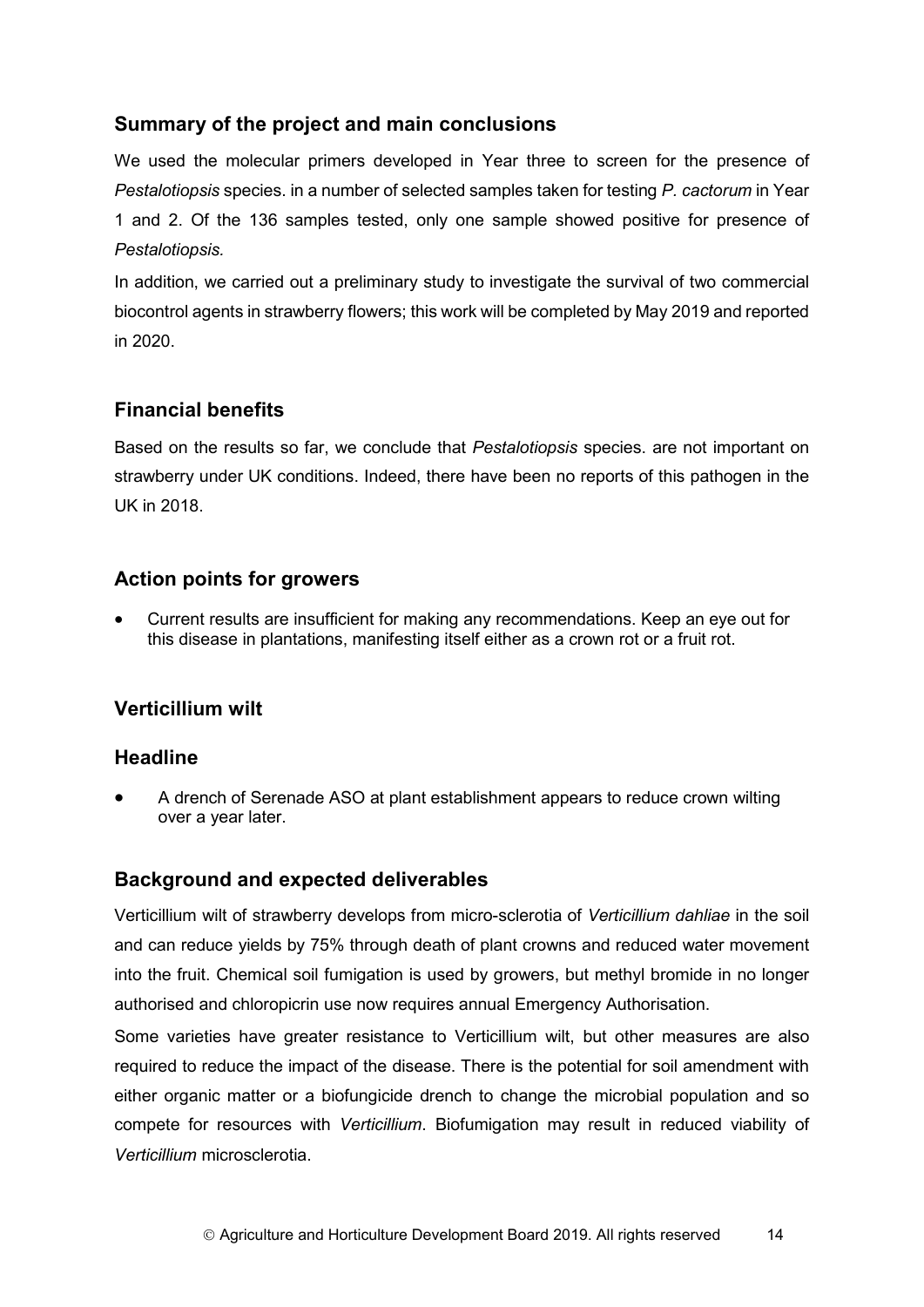## **Summary of the project and main conclusions**

We used the molecular primers developed in Year three to screen for the presence of *Pestalotiopsis* species. in a number of selected samples taken for testing *P. cactorum* in Year 1 and 2. Of the 136 samples tested, only one sample showed positive for presence of *Pestalotiopsis.*

In addition, we carried out a preliminary study to investigate the survival of two commercial biocontrol agents in strawberry flowers; this work will be completed by May 2019 and reported in 2020.

## **Financial benefits**

Based on the results so far, we conclude that *Pestalotiopsis* species. are not important on strawberry under UK conditions. Indeed, there have been no reports of this pathogen in the UK in 2018.

### **Action points for growers**

• Current results are insufficient for making any recommendations. Keep an eye out for this disease in plantations, manifesting itself either as a crown rot or a fruit rot.

## **Verticillium wilt**

### **Headline**

• A drench of Serenade ASO at plant establishment appears to reduce crown wilting over a year later.

### **Background and expected deliverables**

Verticillium wilt of strawberry develops from micro-sclerotia of *Verticillium dahliae* in the soil and can reduce yields by 75% through death of plant crowns and reduced water movement into the fruit. Chemical soil fumigation is used by growers, but methyl bromide in no longer authorised and chloropicrin use now requires annual Emergency Authorisation.

Some varieties have greater resistance to Verticillium wilt, but other measures are also required to reduce the impact of the disease. There is the potential for soil amendment with either organic matter or a biofungicide drench to change the microbial population and so compete for resources with *Verticillium*. Biofumigation may result in reduced viability of *Verticillium* microsclerotia.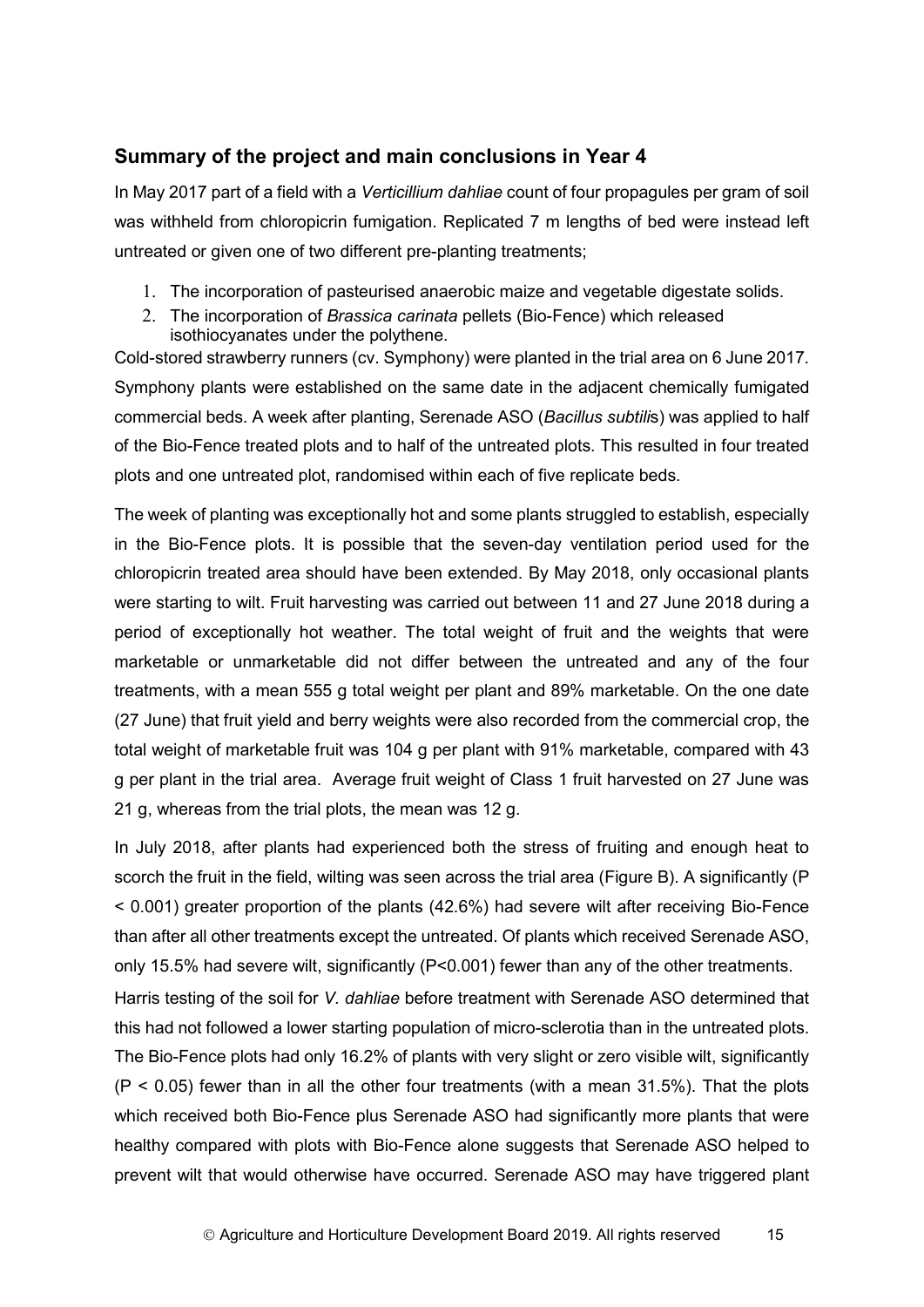### **Summary of the project and main conclusions in Year 4**

In May 2017 part of a field with a *Verticillium dahliae* count of four propagules per gram of soil was withheld from chloropicrin fumigation. Replicated 7 m lengths of bed were instead left untreated or given one of two different pre-planting treatments;

- 1. The incorporation of pasteurised anaerobic maize and vegetable digestate solids.
- 2. The incorporation of *Brassica carinata* pellets (Bio-Fence) which released isothiocyanates under the polythene.

Cold-stored strawberry runners (cv. Symphony) were planted in the trial area on 6 June 2017. Symphony plants were established on the same date in the adjacent chemically fumigated commercial beds. A week after planting, Serenade ASO (*Bacillus subtili*s) was applied to half of the Bio-Fence treated plots and to half of the untreated plots. This resulted in four treated plots and one untreated plot, randomised within each of five replicate beds.

The week of planting was exceptionally hot and some plants struggled to establish, especially in the Bio-Fence plots. It is possible that the seven-day ventilation period used for the chloropicrin treated area should have been extended. By May 2018, only occasional plants were starting to wilt. Fruit harvesting was carried out between 11 and 27 June 2018 during a period of exceptionally hot weather. The total weight of fruit and the weights that were marketable or unmarketable did not differ between the untreated and any of the four treatments, with a mean 555 g total weight per plant and 89% marketable. On the one date (27 June) that fruit yield and berry weights were also recorded from the commercial crop, the total weight of marketable fruit was 104 g per plant with 91% marketable, compared with 43 g per plant in the trial area. Average fruit weight of Class 1 fruit harvested on 27 June was 21 g, whereas from the trial plots, the mean was 12 g.

In July 2018, after plants had experienced both the stress of fruiting and enough heat to scorch the fruit in the field, wilting was seen across the trial area (Figure B). A significantly (P < 0.001) greater proportion of the plants (42.6%) had severe wilt after receiving Bio-Fence than after all other treatments except the untreated. Of plants which received Serenade ASO, only 15.5% had severe wilt, significantly (P<0.001) fewer than any of the other treatments. Harris testing of the soil for *V. dahliae* before treatment with Serenade ASO determined that

this had not followed a lower starting population of micro-sclerotia than in the untreated plots. The Bio-Fence plots had only 16.2% of plants with very slight or zero visible wilt, significantly  $(P < 0.05)$  fewer than in all the other four treatments (with a mean 31.5%). That the plots which received both Bio-Fence plus Serenade ASO had significantly more plants that were healthy compared with plots with Bio-Fence alone suggests that Serenade ASO helped to prevent wilt that would otherwise have occurred. Serenade ASO may have triggered plant